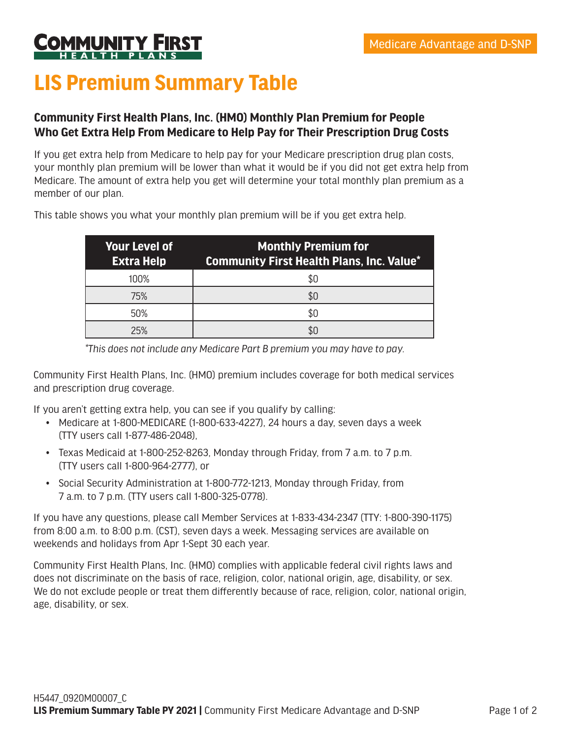

## **LIS Premium Summary Table**

## **Community First Health Plans, Inc. (HMO) Monthly Plan Premium for People Who Get Extra Help From Medicare to Help Pay for Their Prescription Drug Costs**

If you get extra help from Medicare to help pay for your Medicare prescription drug plan costs, your monthly plan premium will be lower than what it would be if you did not get extra help from Medicare. The amount of extra help you get will determine your total monthly plan premium as a member of our plan.

| <b>Your Level of</b><br><b>Extra Help</b> | <b>Monthly Premium for</b><br><b>Community First Health Plans, Inc. Value*</b> |
|-------------------------------------------|--------------------------------------------------------------------------------|
| 100%                                      |                                                                                |
| 75%                                       |                                                                                |
| 50%                                       |                                                                                |
| 25%                                       |                                                                                |

This table shows you what your monthly plan premium will be if you get extra help.

*\*This does not include any Medicare Part B premium you may have to pay.*

Community First Health Plans, Inc. (HMO) premium includes coverage for both medical services and prescription drug coverage.

If you aren't getting extra help, you can see if you qualify by calling:

- Medicare at 1-800-MEDICARE (1-800-633-4227), 24 hours a day, seven days a week (TTY users call 1-877-486-2048),
- Texas Medicaid at 1-800-252-8263, Monday through Friday, from 7 a.m. to 7 p.m. (TTY users call 1-800-964-2777), or
- Social Security Administration at 1-800-772-1213, Monday through Friday, from 7 a.m. to 7 p.m. (TTY users call 1-800-325-0778).

If you have any questions, please call Member Services at 1-833-434-2347 (TTY: 1-800-390-1175) from 8:00 a.m. to 8:00 p.m. (CST), seven days a week. Messaging services are available on weekends and holidays from Apr 1-Sept 30 each year.

Community First Health Plans, Inc. (HMO) complies with applicable federal civil rights laws and does not discriminate on the basis of race, religion, color, national origin, age, disability, or sex. We do not exclude people or treat them differently because of race, religion, color, national origin, age, disability, or sex.